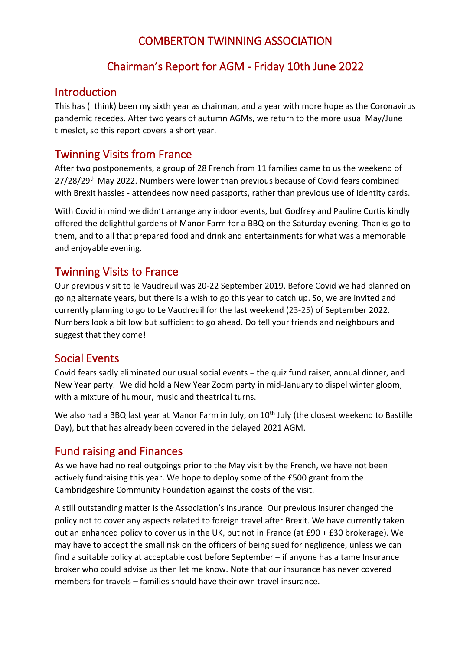### COMBERTON TWINNING ASSOCIATION

### Chairman's Report for AGM - Friday 10th June 2022

#### Introduction

This has (I think) been my sixth year as chairman, and a year with more hope as the Coronavirus pandemic recedes. After two years of autumn AGMs, we return to the more usual May/June timeslot, so this report covers a short year.

### Twinning Visits from France

After two postponements, a group of 28 French from 11 families came to us the weekend of  $27/28/29$ <sup>th</sup> May 2022. Numbers were lower than previous because of Covid fears combined with Brexit hassles - attendees now need passports, rather than previous use of identity cards.

With Covid in mind we didn't arrange any indoor events, but Godfrey and Pauline Curtis kindly offered the delightful gardens of Manor Farm for a BBQ on the Saturday evening. Thanks go to them, and to all that prepared food and drink and entertainments for what was a memorable and enjoyable evening.

#### Twinning Visits to France

Our previous visit to le Vaudreuil was 20-22 September 2019. Before Covid we had planned on going alternate years, but there is a wish to go this year to catch up. So, we are invited and currently planning to go to Le Vaudreuil for the last weekend (23-25) of September 2022. Numbers look a bit low but sufficient to go ahead. Do tell your friends and neighbours and suggest that they come!

#### Social Events

Covid fears sadly eliminated our usual social events = the quiz fund raiser, annual dinner, and New Year party. We did hold a New Year Zoom party in mid-January to dispel winter gloom, with a mixture of humour, music and theatrical turns.

We also had a BBQ last year at Manor Farm in July, on 10<sup>th</sup> July (the closest weekend to Bastille Day), but that has already been covered in the delayed 2021 AGM.

#### Fund raising and Finances

As we have had no real outgoings prior to the May visit by the French, we have not been actively fundraising this year. We hope to deploy some of the £500 grant from the Cambridgeshire Community Foundation against the costs of the visit.

A still outstanding matter is the Association's insurance. Our previous insurer changed the policy not to cover any aspects related to foreign travel after Brexit. We have currently taken out an enhanced policy to cover us in the UK, but not in France (at £90 + £30 brokerage). We may have to accept the small risk on the officers of being sued for negligence, unless we can find a suitable policy at acceptable cost before September – if anyone has a tame Insurance broker who could advise us then let me know. Note that our insurance has never covered members for travels – families should have their own travel insurance.